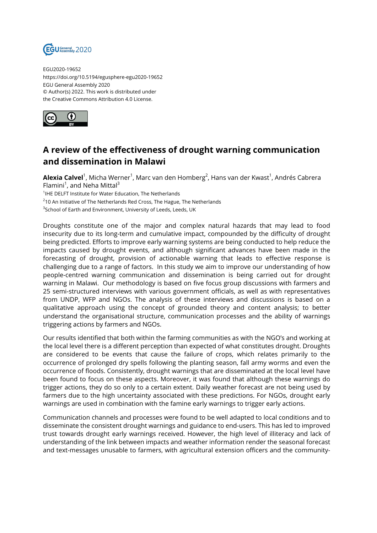

EGU2020-19652 https://doi.org/10.5194/egusphere-egu2020-19652 EGU General Assembly 2020 © Author(s) 2022. This work is distributed under the Creative Commons Attribution 4.0 License.



## **A review of the effectiveness of drought warning communication and dissemination in Malawi**

**Alexia Calvel**<sup>1</sup>, Micha Werner<sup>1</sup>, Marc van den Homberg<sup>2</sup>, Hans van der Kwast<sup>1</sup>, Andrés Cabrera Flamini<sup>1</sup>, and Neha Mittal<sup>3</sup>

<sup>1</sup>IHE DELFT Institute for Water Education, The Netherlands

 $^{2}$ 10 An Initiative of The Netherlands Red Cross, The Hague, The Netherlands

 ${}^{3}$ School of Earth and Environment, University of Leeds, Leeds, UK

Droughts constitute one of the major and complex natural hazards that may lead to food insecurity due to its long-term and cumulative impact, compounded by the difficulty of drought being predicted. Efforts to improve early warning systems are being conducted to help reduce the impacts caused by drought events, and although significant advances have been made in the forecasting of drought, provision of actionable warning that leads to effective response is challenging due to a range of factors. In this study we aim to improve our understanding of how people-centred warning communication and dissemination is being carried out for drought warning in Malawi. Our methodology is based on five focus group discussions with farmers and 25 semi-structured interviews with various government officials, as well as with representatives from UNDP, WFP and NGOs. The analysis of these interviews and discussions is based on a qualitative approach using the concept of grounded theory and content analysis; to better understand the organisational structure, communication processes and the ability of warnings triggering actions by farmers and NGOs.

Our results identified that both within the farming communities as with the NGO's and working at the local level there is a different perception than expected of what constitutes drought. Droughts are considered to be events that cause the failure of crops, which relates primarily to the occurrence of prolonged dry spells following the planting season, fall army worms and even the occurrence of floods. Consistently, drought warnings that are disseminated at the local level have been found to focus on these aspects. Moreover, it was found that although these warnings do trigger actions, they do so only to a certain extent. Daily weather forecast are not being used by farmers due to the high uncertainty associated with these predictions. For NGOs, drought early warnings are used in combination with the famine early warnings to trigger early actions.

Communication channels and processes were found to be well adapted to local conditions and to disseminate the consistent drought warnings and guidance to end-users. This has led to improved trust towards drought early warnings received. However, the high level of illiteracy and lack of understanding of the link between impacts and weather information render the seasonal forecast and text-messages unusable to farmers, with agricultural extension officers and the community